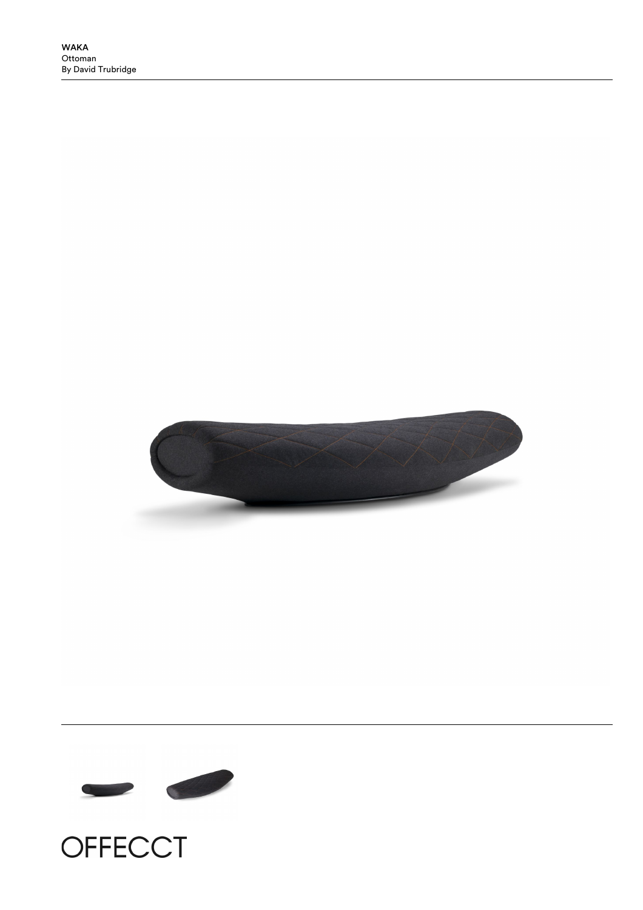





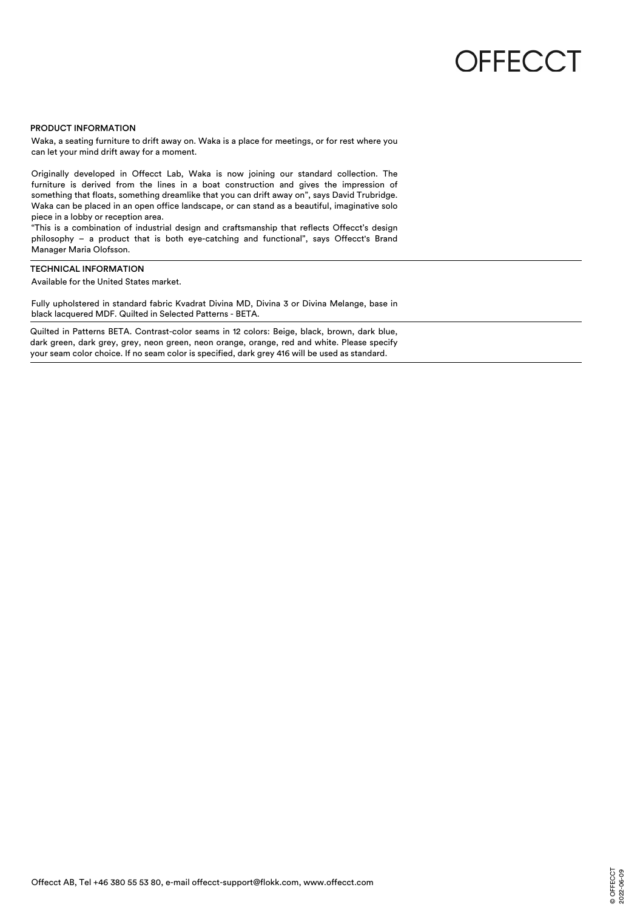## **OFFECCT**

## PRODUCT INFORMATION

Waka, a seating furniture to drift away on. Waka is a place for meetings, or for rest where you can let your mind drift away for a moment.

Originally developed in Offecct Lab, Waka is now joining our standard collection. The furniture is derived from the lines in a boat construction and gives the impression of something that floats, something dreamlike that you can drift away on", says David Trubridge. Waka can be placed in an open office landscape, or can stand as a beautiful, imaginative solo piece in a lobby or reception area.

"This is a combination of industrial design and craftsmanship that reflects Offecct's design philosophy – a product that is both eye-catching and functional", says Offecct's Brand Manager Maria Olofsson.

## TECHNICAL INFORMATION

Available for the United States market.

Fully upholstered in standard fabric Kvadrat Divina MD, Divina 3 or Divina Melange, base in black lacquered MDF. Quilted in Selected Patterns - BETA.

Quilted in Patterns BETA. Contrast-color seams in 12 colors: Beige, black, brown, dark blue, dark green, dark grey, grey, neon green, neon orange, orange, red and white. Please specify your seam color choice. If no seam color is specified, dark grey 416 will be used as standard.